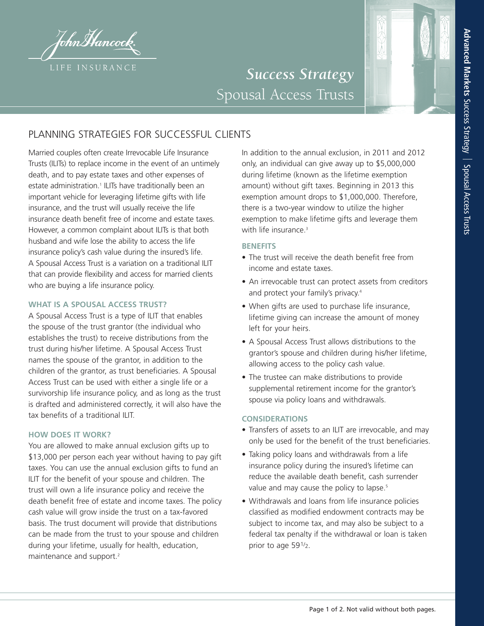

# *Success Strategy* Spousal Access Trusts

## PLANNING STRATEGIES FOR SUCCESSFUL CLIENTS

Married couples often create Irrevocable Life Insurance Trusts (ILITs) to replace income in the event of an untimely death, and to pay estate taxes and other expenses of estate administration. <sup>1</sup> ILITs have traditionally been an important vehicle for leveraging lifetime gifts with life insurance, and the trust will usually receive the life insurance death benefit free of income and estate taxes. However, a common complaint about ILITs is that both husband and wife lose the ability to access the life insurance policy's cash value during the insured's life. A Spousal Access Trust is a variation on a traditional ILIT that can provide flexibility and access for married clients who are buying a life insurance policy.

### **WHAT IS A SPOUSAL ACCESS TRUST?**

A Spousal Access Trust is a type of ILIT that enables the spouse of the trust grantor (the individual who establishes the trust) to receive distributions from the trust during his/her lifetime. A Spousal Access Trust names the spouse of the grantor, in addition to the children of the grantor, as trust beneficiaries. A Spousal Access Trust can be used with either a single life or a survivorship life insurance policy, and as long as the trust is drafted and administered correctly, it will also have the tax benefits of a traditional ILIT.

#### **HOW DOES IT WORK?**

You are allowed to make annual exclusion gifts up to \$13,000 per person each year without having to pay gift taxes. You can use the annual exclusion gifts to fund an ILIT for the benefit of your spouse and children. The trust will own a life insurance policy and receive the death benefit free of estate and income taxes. The policy cash value will grow inside the trust on a tax-favored basis. The trust document will provide that distributions can be made from the trust to your spouse and children during your lifetime, usually for health, education, maintenance and support. 2

In addition to the annual exclusion, in 2011 and 2012 only, an individual can give away up to \$5,000,000 during lifetime (known as the lifetime exemption amount) without gift taxes. Beginning in 2013 this exemption amount drops to \$1,000,000. Therefore, there is a two-year window to utilize the higher exemption to make lifetime gifts and leverage them with life insurance. 3

#### **BENEFITS**

- The trust will receive the death benefit free from income and estate taxes.
- An irrevocable trust can protect assets from creditors and protect your family's privacy. 4
- When gifts are used to purchase life insurance, lifetime giving can increase the amount of money left for your heirs.
- A Spousal Access Trust allows distributions to the grantor's spouse and children during his/her lifetime, allowing access to the policy cash value.
- The trustee can make distributions to provide supplemental retirement income for the grantor's spouse via policy loans and withdrawals.

#### **CONSIDERATIONS**

- Transfers of assets to an ILIT are irrevocable, and may only be used for the benefit of the trust beneficiaries.
- Taking policy loans and withdrawals from a life insurance policy during the insured's lifetime can reduce the available death benefit, cash surrender value and may cause the policy to lapse.<sup>5</sup>
- Withdrawals and loans from life insurance policies classified as modified endowment contracts may be subject to income tax, and may also be subject to a federal tax penalty if the withdrawal or loan is taken prior to age 591/2.